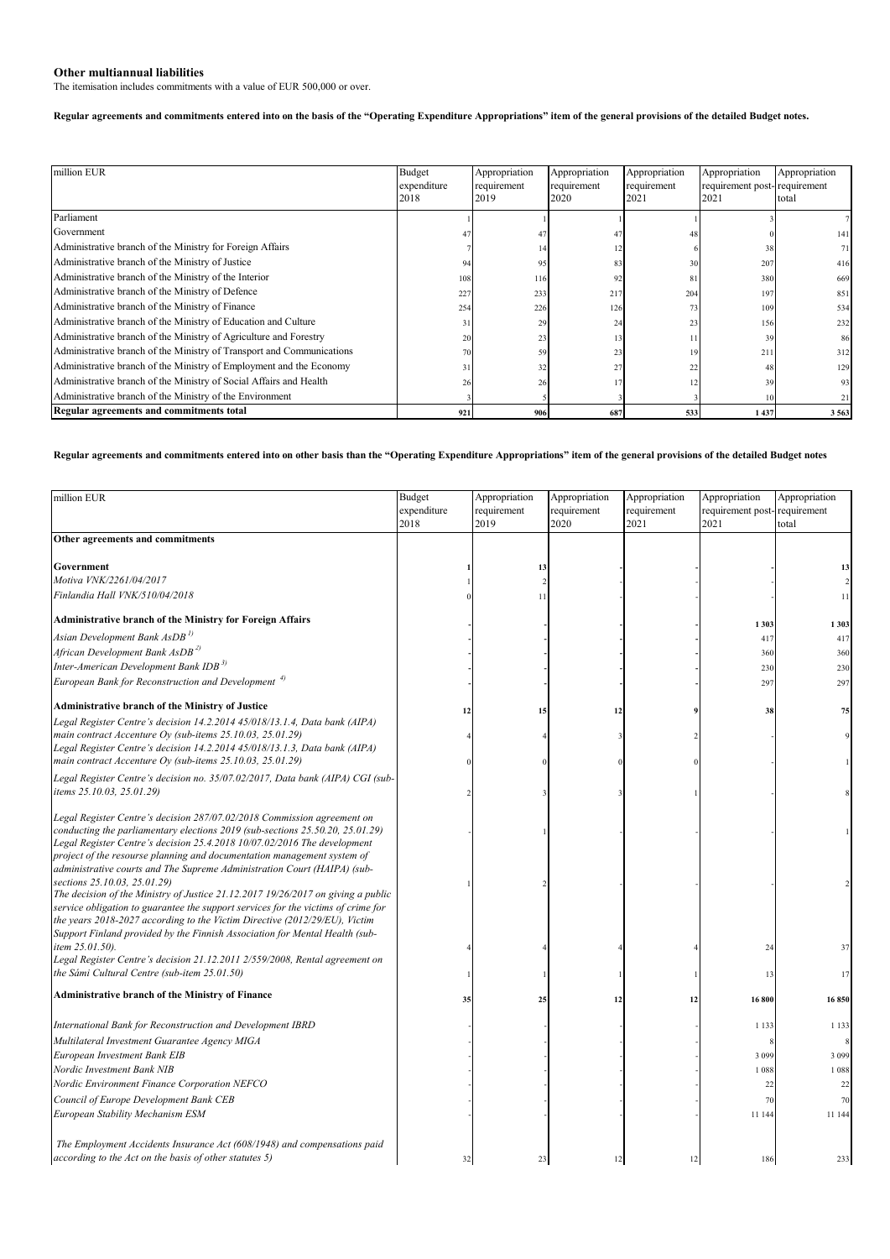## **Other multiannual liabilities**

The itemisation includes commitments with a value of EUR 500,000 or over.

## **Regular agreements and commitments entered into on the basis of the "Operating Expenditure Appropriations" item of the general provisions of the detailed Budget notes.**

| million EUR                                                           | Budget<br>expenditure | Appropriation<br>requirement | Appropriation<br>requirement | Appropriation<br>requirement | Appropriation<br>requirement post-requirement | Appropriation |
|-----------------------------------------------------------------------|-----------------------|------------------------------|------------------------------|------------------------------|-----------------------------------------------|---------------|
|                                                                       | 2018                  | 2019                         | 2020                         | 2021                         | 2021                                          | total         |
| Parliament                                                            |                       |                              |                              |                              |                                               |               |
| Government                                                            |                       | 47                           |                              |                              |                                               | 141           |
| Administrative branch of the Ministry for Foreign Affairs             |                       | 14                           |                              |                              | 38                                            | 71            |
| Administrative branch of the Ministry of Justice                      | 94                    | 95                           | 83                           | 30                           | 207                                           | 416           |
| Administrative branch of the Ministry of the Interior                 | 108                   | 116                          | 92                           | 81                           | 380                                           | 669           |
| Administrative branch of the Ministry of Defence                      | 227                   | 233                          | 217                          | 204                          | 197                                           | 851           |
| Administrative branch of the Ministry of Finance                      | 254                   | 226                          | 126                          | 73                           | 109                                           | 534           |
| Administrative branch of the Ministry of Education and Culture        | 31                    | 29                           | 24                           | 23                           | 156                                           | 232           |
| Administrative branch of the Ministry of Agriculture and Forestry     | 20                    | 23                           | 13                           |                              | 39                                            | 86            |
| Administrative branch of the Ministry of Transport and Communications | 70                    | 59                           | 23                           | 19                           | 211                                           | 312           |
| Administrative branch of the Ministry of Employment and the Economy   |                       | 32                           | 27                           | 22                           | 48                                            | 129           |
| Administrative branch of the Ministry of Social Affairs and Health    | 26                    | 26                           |                              |                              | 39                                            | 93            |
| Administrative branch of the Ministry of the Environment              |                       |                              |                              |                              | 10                                            | 21            |
| Regular agreements and commitments total                              | 921                   | 906                          | 687                          | 533                          | 1 4 3 7                                       | 3563          |

## **Regular agreements and commitments entered into on other basis than the "Operating Expenditure Appropriations" item of the general provisions of the detailed Budget notes**

| million EUR                                                                                                                                              | Budget      | Appropriation | Appropriation | Appropriation | Appropriation                | Appropriation  |
|----------------------------------------------------------------------------------------------------------------------------------------------------------|-------------|---------------|---------------|---------------|------------------------------|----------------|
|                                                                                                                                                          | expenditure | requirement   | requirement   | requirement   | requirement post-requirement |                |
|                                                                                                                                                          | 2018        | 2019          | 2020          | 2021          | 2021                         | total          |
| Other agreements and commitments                                                                                                                         |             |               |               |               |                              |                |
|                                                                                                                                                          |             |               |               |               |                              |                |
| Government                                                                                                                                               |             | 13            |               |               |                              | 13             |
| Motiva VNK/2261/04/2017                                                                                                                                  |             |               |               |               |                              | $\overline{2}$ |
| Finlandia Hall VNK/510/04/2018                                                                                                                           |             | 11            |               |               |                              | 11             |
| <b>Administrative branch of the Ministry for Foreign Affairs</b>                                                                                         |             |               |               |               | 1 3 0 3                      | 1 3 0 3        |
| Asian Development Bank AsDB <sup>1)</sup>                                                                                                                |             |               |               |               | 417                          | 417            |
| African Development Bank AsDB <sup>2)</sup>                                                                                                              |             |               |               |               | 360                          | 360            |
| Inter-American Development Bank IDB <sup>3)</sup>                                                                                                        |             |               |               |               | 230                          | 230            |
| European Bank for Reconstruction and Development <sup>4)</sup>                                                                                           |             |               |               |               | 297                          | 297            |
|                                                                                                                                                          |             |               |               |               |                              |                |
| <b>Administrative branch of the Ministry of Justice</b>                                                                                                  | 12          | 15            | 12            |               | 38                           | 75             |
| Legal Register Centre's decision 14.2.2014 45/018/13.1.4, Data bank (AIPA)                                                                               |             |               |               |               |                              |                |
| main contract Accenture Oy (sub-items 25.10.03, 25.01.29)                                                                                                |             |               |               |               |                              | 9              |
| Legal Register Centre's decision 14.2.2014 45/018/13.1.3, Data bank (AIPA)                                                                               |             |               |               |               |                              |                |
| main contract Accenture Oy (sub-items 25.10.03, 25.01.29)                                                                                                |             |               |               |               |                              |                |
| Legal Register Centre's decision no. 35/07.02/2017, Data bank (AIPA) CGI (sub-                                                                           |             |               |               |               |                              |                |
| items 25.10.03, 25.01.29)                                                                                                                                |             |               |               |               |                              |                |
|                                                                                                                                                          |             |               |               |               |                              |                |
| Legal Register Centre's decision 287/07.02/2018 Commission agreement on<br>conducting the parliamentary elections 2019 (sub-sections 25.50.20, 25.01.29) |             |               |               |               |                              |                |
| Legal Register Centre's decision 25.4.2018 10/07.02/2016 The development                                                                                 |             |               |               |               |                              |                |
| project of the resourse planning and documentation management system of                                                                                  |             |               |               |               |                              |                |
| administrative courts and The Supreme Administration Court (HAIPA) (sub-                                                                                 |             |               |               |               |                              |                |
| sections 25.10.03, 25.01.29)                                                                                                                             |             |               |               |               |                              | $\overline{2}$ |
| The decision of the Ministry of Justice 21.12.2017 19/26/2017 on giving a public                                                                         |             |               |               |               |                              |                |
| service obligation to guarantee the support services for the victims of crime for                                                                        |             |               |               |               |                              |                |
| the years 2018-2027 according to the Victim Directive (2012/29/EU), Victim                                                                               |             |               |               |               |                              |                |
| Support Finland provided by the Finnish Association for Mental Health (sub-<br>item 25.01.50).                                                           |             |               |               |               | 24                           | 37             |
| Legal Register Centre's decision 21.12.2011 2/559/2008, Rental agreement on                                                                              |             |               |               |               |                              |                |
| the Sámi Cultural Centre (sub-item 25.01.50)                                                                                                             |             |               |               |               | 13                           | 17             |
|                                                                                                                                                          |             |               |               |               |                              |                |
| <b>Administrative branch of the Ministry of Finance</b>                                                                                                  | 35          | 25            | 12            | 12            | 16 800                       | 16850          |
|                                                                                                                                                          |             |               |               |               |                              |                |
| International Bank for Reconstruction and Development IBRD                                                                                               |             |               |               |               | 1 1 3 3                      | 1 1 3 3        |
| Multilateral Investment Guarantee Agency MIGA                                                                                                            |             |               |               |               |                              | 8              |
| European Investment Bank EIB                                                                                                                             |             |               |               |               | 3 0 9 9                      | 3 0 9 9        |
| Nordic Investment Bank NIB                                                                                                                               |             |               |               |               | 1 0 8 8                      | 1 0 8 8        |
| Nordic Environment Finance Corporation NEFCO                                                                                                             |             |               |               |               | 22                           | 22             |
| Council of Europe Development Bank CEB                                                                                                                   |             |               |               |               | 70                           | 70             |
| European Stability Mechanism ESM                                                                                                                         |             |               |               |               | 11 144                       | 11 144         |
|                                                                                                                                                          |             |               |               |               |                              |                |
| The Employment Accidents Insurance Act (608/1948) and compensations paid                                                                                 |             |               |               |               |                              |                |
| according to the Act on the basis of other statutes 5)                                                                                                   | 32          | 23            | 12            | 12            | 186                          | 233            |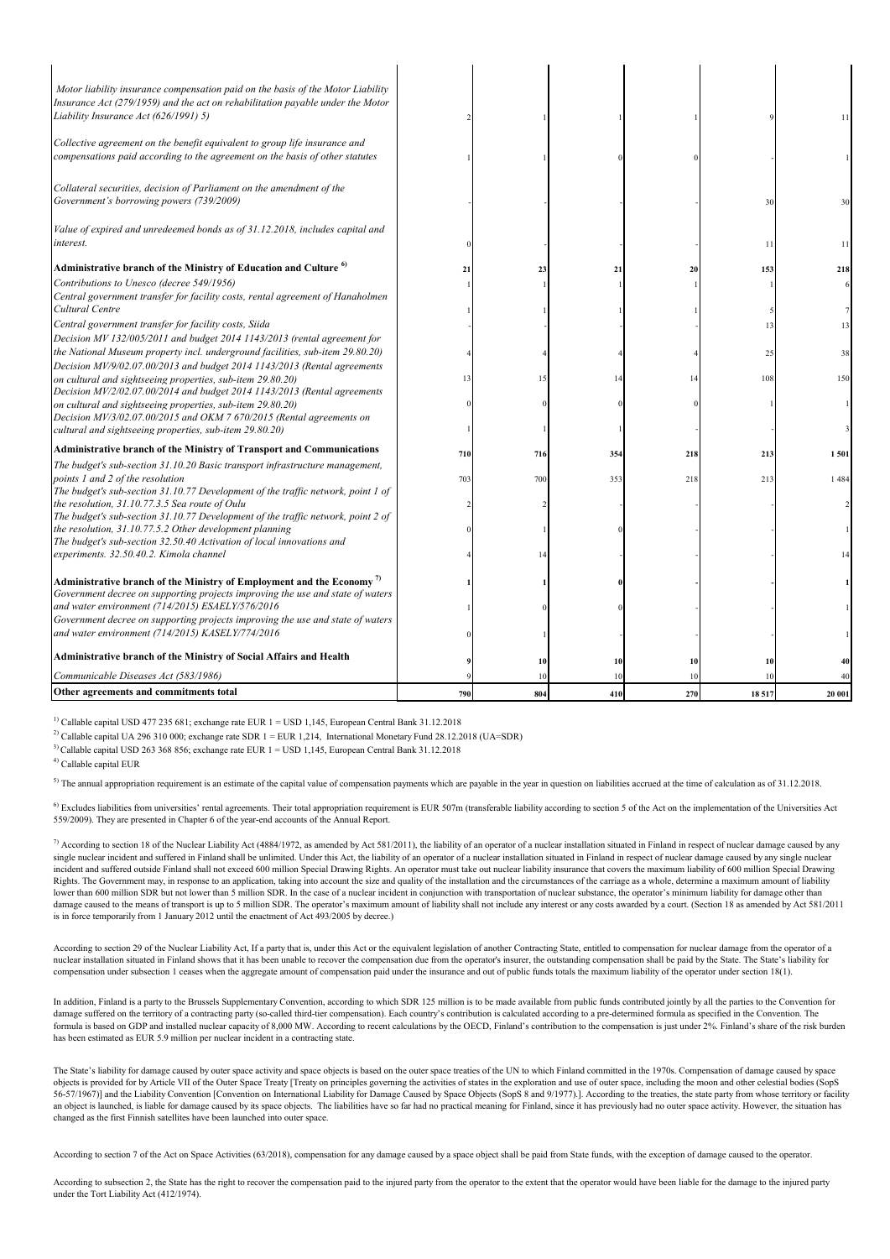| Motor liability insurance compensation paid on the basis of the Motor Liability<br>Insurance Act (279/1959) and the act on rehabilitation payable under the Motor<br>Liability Insurance Act (626/1991) 5)         |     |     |     |     |       | 11      |
|--------------------------------------------------------------------------------------------------------------------------------------------------------------------------------------------------------------------|-----|-----|-----|-----|-------|---------|
| Collective agreement on the benefit equivalent to group life insurance and<br>compensations paid according to the agreement on the basis of other statutes                                                         |     |     |     |     |       |         |
| Collateral securities, decision of Parliament on the amendment of the<br>Government's borrowing powers (739/2009)                                                                                                  |     |     |     |     | 30    | 30      |
| Value of expired and unredeemed bonds as of 31.12.2018, includes capital and<br>interest.                                                                                                                          |     |     |     |     | -11   | 11      |
| Administrative branch of the Ministry of Education and Culture <sup>6)</sup>                                                                                                                                       | 21  | 23  | 21  | 20  | 153   | 218     |
| Contributions to Unesco (decree 549/1956)<br>Central government transfer for facility costs, rental agreement of Hanaholmen                                                                                        |     |     |     |     |       |         |
| Cultural Centre                                                                                                                                                                                                    |     |     |     |     |       |         |
| Central government transfer for facility costs, Siida                                                                                                                                                              |     |     |     |     | 13    | 13      |
| Decision MV 132/005/2011 and budget 2014 1143/2013 (rental agreement for<br>the National Museum property incl. underground facilities, sub-item 29.80.20)                                                          |     |     |     |     | 25    | 38      |
| Decision MV/9/02.07.00/2013 and budget 2014 1143/2013 (Rental agreements<br>on cultural and sightseeing properties, sub-item 29.80.20)<br>Decision MV/2/02.07.00/2014 and budget 2014 1143/2013 (Rental agreements | 13  | 15  | 14  | 14  | 108   | 150     |
| on cultural and sightseeing properties, sub-item 29.80.20)<br>Decision MV/3/02.07.00/2015 and OKM 7 670/2015 (Rental agreements on                                                                                 |     |     |     |     |       |         |
| cultural and sightseeing properties, sub-item 29.80.20)                                                                                                                                                            |     |     |     |     |       |         |
| <b>Administrative branch of the Ministry of Transport and Communications</b>                                                                                                                                       | 710 | 716 | 354 | 218 | 213   | 1501    |
| The budget's sub-section 31.10.20 Basic transport infrastructure management,                                                                                                                                       |     |     |     |     |       |         |
| points 1 and 2 of the resolution<br>The budget's sub-section 31.10.77 Development of the traffic network, point 1 of                                                                                               | 703 | 700 | 353 | 218 | 213   | 1 4 8 4 |
| the resolution, 31.10.77.3.5 Sea route of Oulu<br>The budget's sub-section 31.10.77 Development of the traffic network, point 2 of                                                                                 |     |     |     |     |       |         |
| the resolution, 31.10.77.5.2 Other development planning<br>The budget's sub-section 32.50.40 Activation of local innovations and                                                                                   |     |     |     |     |       |         |
| experiments. 32.50.40.2. Kimola channel                                                                                                                                                                            |     |     |     |     |       | 14      |
| Administrative branch of the Ministry of Employment and the Economy <sup>7)</sup>                                                                                                                                  |     |     |     |     |       |         |
| Government decree on supporting projects improving the use and state of waters                                                                                                                                     |     |     |     |     |       |         |
| and water environment (714/2015) ESAELY/576/2016                                                                                                                                                                   |     |     |     |     |       |         |
| Government decree on supporting projects improving the use and state of waters<br>and water environment (714/2015) KASELY/774/2016                                                                                 |     |     |     |     |       |         |
| <b>Administrative branch of the Ministry of Social Affairs and Health</b>                                                                                                                                          |     | 10  | 10  | 10  | 10    |         |
| Communicable Diseases Act (583/1986)                                                                                                                                                                               |     | 10  | 10  |     |       |         |
| Other agreements and commitments total                                                                                                                                                                             | 790 | 804 | 410 | 270 | 18517 | 20 001  |

 $1)$  Callable capital USD 477 235 681; exchange rate EUR  $1 =$  USD 1,145, European Central Bank 31.12.2018

<sup>2)</sup> Callable capital UA 296 310 000; exchange rate SDR  $1 =$  EUR 1,214, International Monetary Fund 28.12.2018 (UA=SDR)

3) Callable capital USD 263 368 856; exchange rate EUR 1 = USD 1,145, European Central Bank 31.12.2018

4) Callable capital EUR

5) The annual appropriation requirement is an estimate of the capital value of compensation payments which are payable in the year in question on liabilities accrued at the time of calculation as of 31.12.2018.

<sup>6)</sup> Excludes liabilities from universities' rental agreements. Their total appropriation requirement is EUR 507m (transferable liability according to section 5 of the Act on the implementation of the Universities Act 559/2009). They are presented in Chapter 6 of the year-end accounts of the Annual Report.

 $^7$  According to section 18 of the Nuclear Liability Act (4884/1972, as amended by Act 581/2011), the liability of an operator of a nuclear installation situated in Finland in respect of nuclear damage caused by any single nuclear incident and suffered in Finland shall be unlimited. Under this Act, the liability of an operator of a nuclear installation situated in Finland in respect of nuclear damage caused by any single nuclear incident and suffered outside Finland shall not exceed 600 million Special Drawing Rights. An operator must take out nuclear liability insurance that covers the maximum liability of 600 million Special Drawing Rights. The Government may, in response to an application, taking into account the size and quality of the installation and the circumstances of the carriage as a whole, determine a maximum amount of liability lower than 600 million SDR but not lower than 5 million SDR. In the case of a nuclear incident in conjunction with transportation of nuclear substance, the operator's minimum liability for damage other than damage caused to the means of transport is up to 5 million SDR. The operator's maximum amount of liability shall not include any interest or any costs awarded by a court. (Section 18 as amended by Act 581/2011<br>is in force

According to section 29 of the Nuclear Liability Act, If a party that is, under this Act or the equivalent legislation of another Contracting State, entitled to compensation for nuclear damage from the operator of a nuclear installation situated in Finland shows that it has been unable to recover the compensation due from the operator's insurer, the outstanding compensation shall be paid by the State. The State's liability for<br>compens

In addition, Finland is a party to the Brussels Supplementary Convention, according to which SDR 125 million is to be made available from public funds contributed jointly by all the parties to the Convention for damage suffered on the territory of a contracting party (so-called third-tier compensation). Each country's contribution is calculated according to a pre-determined formula as specified in the Convention. The formula is based on GDP and installed nuclear capacity of 8,000 MW. According to recent calculations by the OECD, Finland's contribution to the compensation is just under 2%. Finland's share of the risk burden from exercis has been estimated as EUR 5.9 million per nuclear incident in a contracting state.

The State's liability for damage caused by outer space activity and space objects is based on the outer space treaties of the UN to which Finland committed in the 1970s. Compensation of damage caused by space objects is provided for by Article VII of the Outer Space Treaty [Treaty on principles governing the activities of states in the exploration and use of outer space, including the moon and other celestial bodies (SopS 56-57/1967)] and the Liability Convention [Convention on International Liability for Damage Caused by Space Objects (SopS 8 and 9/1977).]. According to the treaties, the state party from whose territory or facility an object is launched, is liable for damage caused by its space objects. The liabilities have so far had no practical meaning for Finland, since it has previously had no outer space activity. However, the situation has changed as the first Finnish satellites have been launched into outer space.

According to section 7 of the Act on Space Activities (63/2018), compensation for any damage caused by a space object shall be paid from State funds, with the exception of damage caused to the operator.

According to subsection 2, the State has the right to recover the compensation paid to the injured party from the operator to the extent that the operator would have been liable for the damage to the injured party under the Tort Liability Act (412/1974).